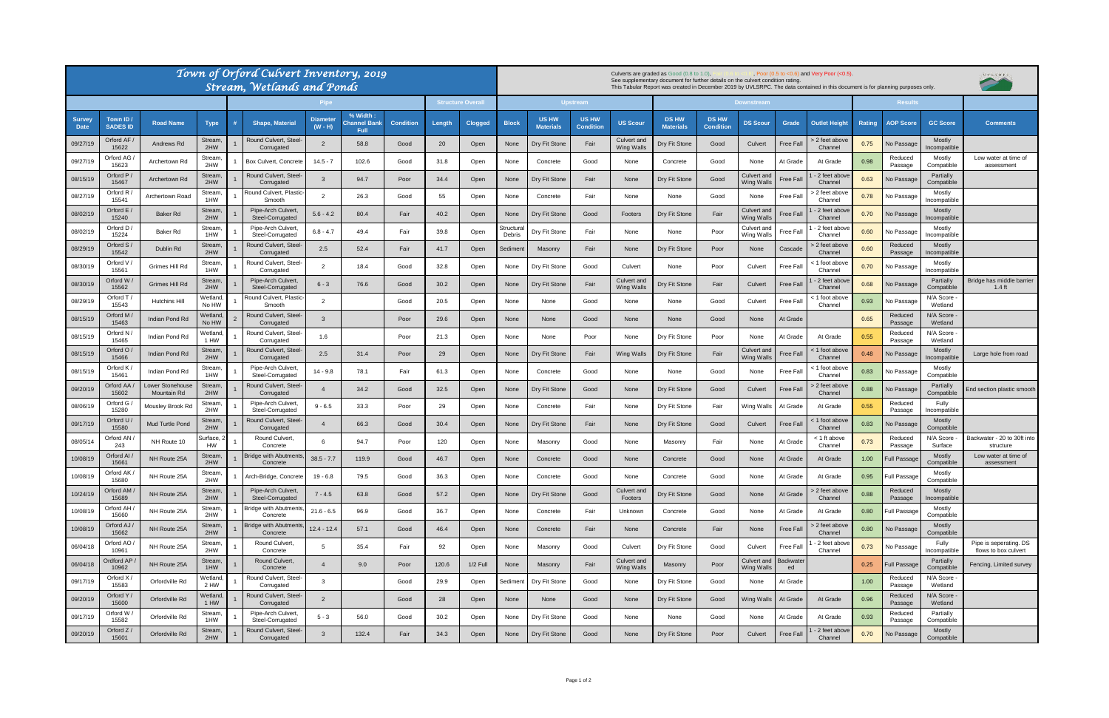| Town of Orford Culvert Inventory, 2019<br><b>Stream, Wetlands and Ponds</b> |                              |                                |                      |  |                                          |                              |                                         |                  |                        | Culverts are graded as Good (0.8 to 1.0),<br>Poor $(0.5 \text{ to } <0.6)$ and Very Poor $(<0.5)$ .<br>See supplementary document for further details on the culvert condition rating.<br>This Tabular Report was created in December 2019 by UVLSRPC. The data contained in this document is for planning purposes only. |                     |                                  |                                  |                                         |                                  |                                  |                                  |                  |                           |               | , U V L S R P C,    |                              |                                                |
|-----------------------------------------------------------------------------|------------------------------|--------------------------------|----------------------|--|------------------------------------------|------------------------------|-----------------------------------------|------------------|------------------------|---------------------------------------------------------------------------------------------------------------------------------------------------------------------------------------------------------------------------------------------------------------------------------------------------------------------------|---------------------|----------------------------------|----------------------------------|-----------------------------------------|----------------------------------|----------------------------------|----------------------------------|------------------|---------------------------|---------------|---------------------|------------------------------|------------------------------------------------|
|                                                                             |                              |                                |                      |  |                                          |                              |                                         |                  | <b>Structure Overa</b> | <b>Upstream</b>                                                                                                                                                                                                                                                                                                           |                     |                                  |                                  | Downstream                              |                                  |                                  |                                  |                  | <b>Results</b>            |               |                     |                              |                                                |
| <b>Survey</b><br><b>Date</b>                                                | Town ID /<br><b>SADES ID</b> | <b>Road Name</b>               | <b>Type</b>          |  | <b>Shape, Material</b>                   | <b>Diameter</b><br>$(W - H)$ | % Width:<br>Channel Banl<br><b>Full</b> | <b>Condition</b> | Length                 | <b>Clogged</b>                                                                                                                                                                                                                                                                                                            | <b>Block</b>        | <b>US HW</b><br><b>Materials</b> | <b>US HW</b><br><b>Condition</b> | <b>US Scour</b>                         | <b>DS HW</b><br><b>Materials</b> | <b>DS HW</b><br><b>Condition</b> | <b>DS Scour</b>                  | Grade            | <b>Outlet Height</b>      | <b>Rating</b> | <b>AOP Score</b>    | <b>GC Score</b>              | <b>Comments</b>                                |
| 09/27/19                                                                    | Orford AF<br>15622           | Andrews Rd                     | Stream<br>2HW        |  | Round Culvert, Steel-<br>Corrugated      |                              | 58.8                                    | Good             | 20                     | Open                                                                                                                                                                                                                                                                                                                      | None                | Dry Fit Stone                    | Fair                             | Culvert and<br><b>Wing Walls</b>        | Dry Fit Stone                    | Good                             | Culvert                          | <b>Free Fall</b> | > 2 feet above<br>Channel | 0.75          | No Passage          | Mostly<br>ncompatible        |                                                |
| 09/27/19                                                                    | Orford AG<br>15623           | Archertown Rd                  | Stream<br>2HW        |  | Box Culvert, Concrete                    | $14.5 - 7$                   | 102.6                                   | Good             | 31.8                   | Open                                                                                                                                                                                                                                                                                                                      | None                | Concrete                         | Good                             | None                                    | Concrete                         | Good                             | None                             | At Grade         | At Grade                  | 0.98          | Reduced<br>Passage  | Mostly<br>Compatible         | Low water at time of<br>assessment             |
| 08/15/19                                                                    | Orford P<br>15467            | Archertown Rd                  | Stream<br>2HW        |  | Round Culvert, Steel-<br>Corrugated      |                              | 94.7                                    | Poor             | 34.4                   | Open                                                                                                                                                                                                                                                                                                                      | None                | Dry Fit Stone                    | Fair                             | None                                    | Dry Fit Stone                    | Good                             | Culvert and<br><b>Wing Walls</b> | Free Fal         | 2 feet abov<br>Channel    | 0.63          | <b>Vo Passage</b>   | Partially<br>Compatible      |                                                |
| 08/27/19                                                                    | Orford R<br>15541            | Archertown Road                | Stream<br>1HW        |  | Round Culvert, Plastic-<br>Smooth        |                              | 26.3                                    | Good             | 55                     | Open                                                                                                                                                                                                                                                                                                                      | None                | Concrete                         | Fair                             | None                                    | None                             | Good                             | None                             | Free Fall        | 2 feet above<br>Channel   | 0.78          | No Passage          | Mostly<br>ncompatible        |                                                |
| 08/02/19                                                                    | Orford E<br>15240            | <b>Baker Rd</b>                | Stream<br>2HW        |  | Pipe-Arch Culvert,<br>Steel-Corrugated   | $5.6 - 4.2$                  | 80.4                                    | Fair             | 40.2                   | Open                                                                                                                                                                                                                                                                                                                      | None                | Dry Fit Stone                    | Good                             | Footers                                 | Dry Fit Stone                    | Fair                             | Culvert and<br><b>Wing Walls</b> | Free Fal         | 2 feet abov<br>Channel    | 0.70          | No Passage          | Mostly<br>ncompatible        |                                                |
| 08/02/19                                                                    | Orford D<br>15224            | Baker Rd                       | Stream,<br>1HW       |  | Pipe-Arch Culvert<br>Steel-Corrugated    | $6.8 - 4.7$                  | 49.4                                    | Fair             | 39.8                   | Open                                                                                                                                                                                                                                                                                                                      | itructura<br>Debris | Dry Fit Stone                    | Fair                             | None                                    | None                             | Poor                             | Culvert and<br><b>Wing Walls</b> | Free Fall        | 2 feet abov<br>Channel    | 0.60          | No Passage          | <b>Mostly</b><br>ncompatible |                                                |
| 08/29/19                                                                    | Orford S<br>15542            | Dublin Rd                      | Stream,<br>2HW       |  | Round Culvert, Steel-<br>Corrugated      | 2.5                          | 52.4                                    | Fair             | 41.7                   | Open                                                                                                                                                                                                                                                                                                                      | Sedimen             | Masonry                          | Fair                             | None                                    | Dry Fit Stone                    | Poor                             | None                             | Cascade          | ∙ 2 feet above<br>Channel | 0.60          | Reduced<br>Passage  | Mostly<br>ncompatible        |                                                |
| 08/30/19                                                                    | Orford V<br>15561            | Grimes Hill Rd                 | Stream,<br>1HW       |  | Round Culvert, Steel-<br>Corrugated      |                              | 18.4                                    | Good             | 32.8                   | Open                                                                                                                                                                                                                                                                                                                      | None                | Dry Fit Stone                    | Good                             | Culvert                                 | None                             | Poor                             | Culvert                          | <b>Free Fall</b> | 1 foot above<br>Channel   | 0.70          | No Passage          | Mostly<br>ncompatible        |                                                |
| 08/30/19                                                                    | Orford W<br>15562            | Grimes Hill Rd                 | Stream.<br>2HW       |  | Pipe-Arch Culvert,<br>Steel-Corrugated   | $6 - 3$                      | 76.6                                    | Good             | 30.2                   | Open                                                                                                                                                                                                                                                                                                                      | None                | Dry Fit Stone                    | Fair                             | <b>Culvert and</b><br><b>Wing Walls</b> | Dry Fit Stone                    | Fair                             | Culvert                          | Free Fal         | 2 feet abov<br>Channel    | 0.68          | No Passage          | Partially<br>Compatible      | Bridge has middle barrier<br>$1.4$ ft          |
| 08/29/19                                                                    | Orford T<br>15543            | Hutchins Hill                  | Wetland<br>No HW     |  | Round Culvert, Plastic-<br>Smooth        |                              |                                         | Good             | 20.5                   | Open                                                                                                                                                                                                                                                                                                                      | None                | None                             | Good                             | None                                    | None                             | Good                             | Culvert                          | Free Fal         | : 1 foot above<br>Channel | 0.93          | No Passag           | N/A Score<br>Wetland         |                                                |
| 08/15/19                                                                    | Orford M<br>15463            | Indian Pond Rd                 | Netland,<br>No HW    |  | Round Culvert, Steel-<br>Corrugated      | $\mathbf{R}$                 |                                         | Poor             | 29.6                   | Open                                                                                                                                                                                                                                                                                                                      | None                | None                             | Good                             | None                                    | None                             | Good                             | None                             | At Grade         |                           | 0.65          | Reduced<br>Passage  | N/A Score<br>Wetland         |                                                |
| 08/15/19                                                                    | / Orford N<br>15465          | Indian Pond Rd                 | Wetland,<br>1 HW     |  | Round Culvert, Steel-<br>Corrugated      | 1.6                          |                                         | Poor             | 21.3                   | Open                                                                                                                                                                                                                                                                                                                      | None                | None                             | Poor                             | None                                    | Dry Fit Stone                    | Poor                             | None                             | At Grade         | At Grade                  | 0.55          | Reduced<br>Passage  | N/A Score<br>Wetland         |                                                |
| 08/15/19                                                                    | Orford O<br>15466            | Indian Pond Rd                 | Stream<br>2HW        |  | Round Culvert, Steel-<br>Corrugated      | 2.5                          | 31.4                                    | Poor             | 29                     | Open                                                                                                                                                                                                                                                                                                                      | None                | Dry Fit Stone                    | Fair                             | <b>Wing Walls</b>                       | Dry Fit Stone                    | Fair                             | Culvert and<br><b>Wing Walls</b> | Free Fall        | : 1 foot above<br>Channel | 0.48          | No Passage          | Mostly<br>ncompatible        | Large hole from road                           |
| 08/15/19                                                                    | Orford K<br>15461            | Indian Pond Rd                 | Stream,<br>1HW       |  | Pipe-Arch Culvert,<br>Steel-Corrugated   | $14 - 9.8$                   | 78.1                                    | Fair             | 61.3                   | Open                                                                                                                                                                                                                                                                                                                      | None                | Concrete                         | Good                             | None                                    | None                             | Good                             | None                             | Free Fal         | < 1 foot above<br>Channel | 0.83          | No Passage          | Mostly<br>Compatible         |                                                |
| 09/20/19                                                                    | Orford AA<br>15602           | ower Stonehouse<br>Mountain Rd | Stream<br>2HW        |  | Round Culvert, Steel-<br>Corrugated      |                              | 34.2                                    | Good             | 32.5                   | Open                                                                                                                                                                                                                                                                                                                      | None                | Dry Fit Stone                    | Good                             | None                                    | Dry Fit Stone                    | Good                             | Culvert                          | Free Fal         | 2 feet above<br>Channel   | 0.88          | No Passage          | Partially<br>Compatible      | nd section plastic smooth:                     |
| 08/06/19                                                                    | Orford G<br>15280            | Mousley Brook Rd               | Stream,<br>2HW       |  | Pipe-Arch Culvert,<br>Steel-Corrugated   | $9 - 6.5$                    | 33.3                                    | Poor             | 29                     | Open                                                                                                                                                                                                                                                                                                                      | None                | Concrete                         | Fair                             | None                                    | Dry Fit Stone                    | Fair                             | Wing Walls                       | At Grade         | At Grade                  | 0.55          | Reduced<br>Passage  | Fully<br>ncompatible         |                                                |
| 09/17/19                                                                    | Orford U<br>15580            | Mud Turtle Pond                | Stream.<br>2HW       |  | Round Culvert, Steel-<br>Corrugated      |                              | 66.3                                    | Good             | 30.4                   | Open                                                                                                                                                                                                                                                                                                                      | None                | Dry Fit Stone                    | Fair                             | None                                    | Dry Fit Stone                    | Good                             | Culvert                          | Free Fal         | : 1 foot above<br>Channel | 0.83          | <b>Vo Passage</b>   | Mostly<br>Compatible         |                                                |
| 08/05/14                                                                    | Orford AN<br>243             | NH Route 10                    | 3urface, 2<br>HW     |  | Round Culvert,<br>Concrete               |                              | 94.7                                    | Poor             | 120                    | Open                                                                                                                                                                                                                                                                                                                      | None                | Masonry                          | Good                             | None                                    | Masonry                          | Fair                             | None                             | At Grade         | < 1 ft above<br>Channel   | 0.73          | Reduced<br>Passage  | N/A Score<br>Surface         | Backwater - 20 to 30ft into<br>structure       |
| 10/08/19                                                                    | Orford Al<br>15661           | NH Route 25A                   | Stream<br>2HW        |  | <b>Bridge with Abutments</b><br>Concrete | $38.5 - 7.7$                 | 119.9                                   | Good             | 46.7                   | Open                                                                                                                                                                                                                                                                                                                      | None                | Concrete                         | Good                             | None                                    | Concrete                         | Good                             | None                             | At Grade         | At Grade                  | 1.00          | Full Passage        | Mostly<br>Compatible         | Low water at time of<br>assessment             |
| 10/08/19                                                                    | Orford AK<br>15680           | NH Route 25A                   | Stream,<br>2HW       |  | Arch-Bridge, Concrete                    | $19 - 6.8$                   | 79.5                                    | Good             | 36.3                   | Open                                                                                                                                                                                                                                                                                                                      | None                | Concrete                         | Good                             | None                                    | Concrete                         | Good                             | None                             | At Grade         | At Grade                  | 0.95          | Full Passage        | Mostly<br>Compatible         |                                                |
| 10/24/19                                                                    | Orford AM<br>15689           | NH Route 25A                   | Stream,<br>2HW       |  | Pipe-Arch Culvert,<br>Steel-Corrugated   | $7 - 4.5$                    | 63.8                                    | Good             | 57.2                   | Open                                                                                                                                                                                                                                                                                                                      | None                | Dry Fit Stone                    | Good                             | Culvert and<br>Footers                  | Dry Fit Stone                    | Good                             | None                             | At Grade         | > 2 feet above<br>Channel | 0.88          | Reduced<br>Passage  | Mostly<br>ncompatible        |                                                |
| 10/08/19                                                                    | Orford AH<br>15660           | NH Route 25A                   | Stream<br>2HW        |  | <b>Bridge with Abutments</b><br>Concrete | $21.6 - 6.5$                 | 96.9                                    | Good             | 36.7                   | Open                                                                                                                                                                                                                                                                                                                      | None                | Concrete                         | Fair                             | Unknown                                 | Concrete                         | Good                             | None                             | At Grade         | At Grade                  | 0.80          | <b>Full Passage</b> | Mostly<br>Compatible         |                                                |
| 10/08/19                                                                    | Orford AJ<br>15662           | NH Route 25A                   | <b>Stream</b><br>2HW |  | <b>Bridge with Abutments</b><br>Concrete | $12.4 - 12.4$                | 57.1                                    | Good             | 46.4                   | Open                                                                                                                                                                                                                                                                                                                      | None                | Concrete                         | Fair                             | None                                    | Concrete                         | Fair                             | None                             | Free Fall        | > 2 feet above<br>Channel | 0.80          | No Passage          | Mostly<br>Compatible         |                                                |
| 06/04/18                                                                    | Orford AO<br>10961           | NH Route 25A                   | Stream,<br>2HW       |  | Round Culvert,<br>Concrete               | -5                           | 35.4                                    | Fair             | 92                     | Open                                                                                                                                                                                                                                                                                                                      | None                | Masonry                          | Good                             | Culvert                                 | Dry Fit Stone                    | Good                             | Culvert                          | Free Fall        | 2 feet above<br>Channel   | 0.73          | No Passage          | Fully<br>Incompatible        | Pipe is seperating. DS<br>flows to box culvert |
| 06/04/18                                                                    | Ordford AP<br>10962          | NH Route 25A                   | Stream,<br>1HW       |  | Round Culvert,<br>Concrete               | $\overline{4}$               | 9.0                                     | Poor             | 120.6                  | $1/2$ Full                                                                                                                                                                                                                                                                                                                | None                | Masonry                          | Fair                             | Culvert and<br>Wing Walls               | Masonry                          | Poor                             | Culvert and<br><b>Wing Walls</b> | Backwater<br>ed  |                           | 0.25          | Full Passage        | Partially<br>Compatible      | Fencing, Limited survey                        |
| 09/17/19                                                                    | Orford $X/$<br>15583         | Orfordville Rd                 | Wetland,<br>2 HW     |  | Round Culvert, Steel-<br>Corrugated      | -3                           |                                         | Good             | 29.9                   | Open                                                                                                                                                                                                                                                                                                                      | Sediment            | Dry Fit Stone                    | Good                             | None                                    | Dry Fit Stone                    | Good                             | None                             | At Grade         |                           | 1.00          | Reduced<br>Passage  | N/A Score<br>Wetland         |                                                |
| 09/20/19                                                                    | Orford Y<br>15600            | Orfordville Rd                 | Wetland,<br>1 HW     |  | Round Culvert, Steel-<br>Corrugated      | $\overline{2}$               |                                         | Good             | 28                     | Open                                                                                                                                                                                                                                                                                                                      | None                | None                             | Good                             | None                                    | Dry Fit Stone                    | Good                             | <b>Wing Walls</b>                | At Grade         | At Grade                  | 0.96          | Reduced<br>Passage  | N/A Score<br>Wetland         |                                                |
| 09/17/19                                                                    | Orford W<br>15582            | Orfordville Rd                 | <b>Stream</b><br>1HW |  | Pipe-Arch Culvert,<br>Steel-Corrugated   | $5 - 3$                      | 56.0                                    | Good             | 30.2                   | Open                                                                                                                                                                                                                                                                                                                      | None                | Dry Fit Stone                    | Good                             | None                                    | None                             | Good                             | None                             | At Grade         | At Grade                  | 0.93          | Reduced<br>Passage  | Partially<br>Compatible      |                                                |
| 09/20/19                                                                    | Orford Z.<br>15601           | Orfordville Rd                 | Stream,<br>2HW       |  | Round Culvert, Steel-<br>Corrugated      | $\mathbf{3}$                 | 132.4                                   | Fair             | 34.3                   | Open                                                                                                                                                                                                                                                                                                                      | None                | Dry Fit Stone                    | Good                             | None                                    | Dry Fit Stone                    | Poor                             | Culvert                          | Free Fall        | - 2 feet above<br>Channel | 0.70          | No Passage          | Mostly<br>Compatible         |                                                |